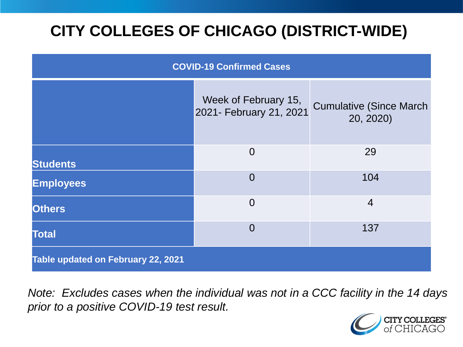# **CITY COLLEGES OF CHICAGO (DISTRICT-WIDE)**

| <b>COVID-19 Confirmed Cases</b>    |                                                 |                                              |
|------------------------------------|-------------------------------------------------|----------------------------------------------|
|                                    | Week of February 15,<br>2021- February 21, 2021 | <b>Cumulative (Since March)</b><br>20, 2020) |
| <b>Students</b>                    | $\overline{0}$                                  | 29                                           |
| <b>Employees</b>                   | $\overline{0}$                                  | 104                                          |
| <b>Others</b>                      | $\overline{0}$                                  | $\overline{4}$                               |
| <b>Total</b>                       | $\overline{0}$                                  | 137                                          |
| Table updated on February 22, 2021 |                                                 |                                              |

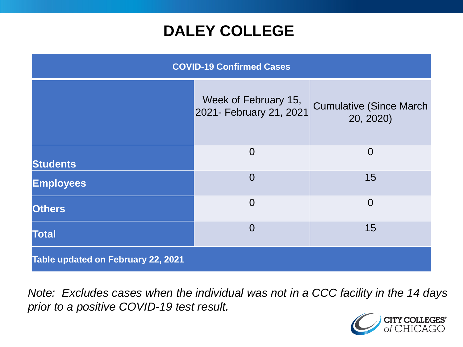### **DALEY COLLEGE**

| <b>COVID-19 Confirmed Cases</b>    |                                                 |                                              |
|------------------------------------|-------------------------------------------------|----------------------------------------------|
|                                    | Week of February 15,<br>2021- February 21, 2021 | <b>Cumulative (Since March)</b><br>20, 2020) |
| <b>Students</b>                    | $\overline{0}$                                  | $\overline{0}$                               |
| <b>Employees</b>                   | $\overline{0}$                                  | 15                                           |
| <b>Others</b>                      | $\overline{0}$                                  | $\overline{0}$                               |
| <b>Total</b>                       | $\overline{0}$                                  | 15                                           |
| Table updated on February 22, 2021 |                                                 |                                              |

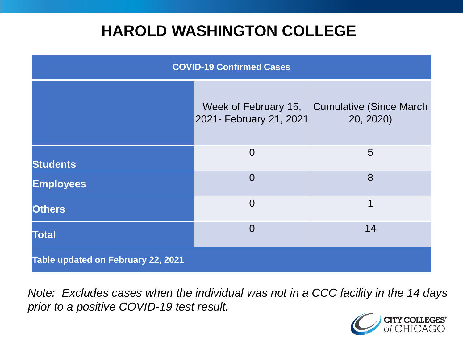### **HAROLD WASHINGTON COLLEGE**

| <b>COVID-19 Confirmed Cases</b>    |                                                 |                                              |
|------------------------------------|-------------------------------------------------|----------------------------------------------|
|                                    | Week of February 15,<br>2021- February 21, 2021 | <b>Cumulative (Since March)</b><br>20, 2020) |
| <b>Students</b>                    | $\overline{0}$                                  | 5                                            |
| <b>Employees</b>                   | $\Omega$                                        | 8                                            |
| <b>Others</b>                      | $\overline{0}$                                  | 1                                            |
| <b>Total</b>                       | $\Omega$                                        | 14                                           |
| Table updated on February 22, 2021 |                                                 |                                              |

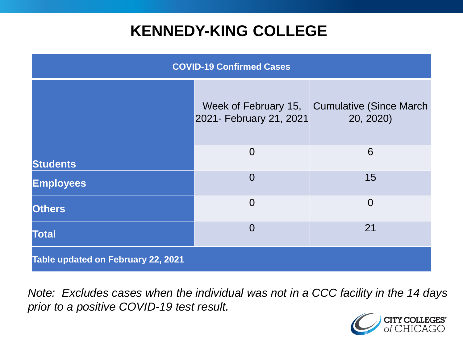### **KENNEDY-KING COLLEGE**

| <b>COVID-19 Confirmed Cases</b>    |                                                 |                                             |
|------------------------------------|-------------------------------------------------|---------------------------------------------|
|                                    | Week of February 15,<br>2021- February 21, 2021 | <b>Cumulative (Since March</b><br>20, 2020) |
| <b>Students</b>                    | $\Omega$                                        | 6                                           |
| <b>Employees</b>                   | $\overline{0}$                                  | 15                                          |
| <b>Others</b>                      | $\overline{0}$                                  | $\overline{0}$                              |
| <b>Total</b>                       | $\overline{0}$                                  | 21                                          |
| Table updated on February 22, 2021 |                                                 |                                             |

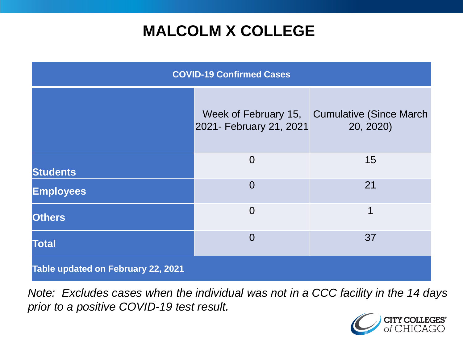# **MALCOLM X COLLEGE**

| <b>COVID-19 Confirmed Cases</b>    |                                                 |                                             |
|------------------------------------|-------------------------------------------------|---------------------------------------------|
|                                    | Week of February 15,<br>2021- February 21, 2021 | <b>Cumulative (Since March</b><br>20, 2020) |
| <b>Students</b>                    | $\overline{0}$                                  | 15                                          |
| <b>Employees</b>                   | $\Omega$                                        | 21                                          |
| <b>Others</b>                      | $\overline{0}$                                  | 1                                           |
| <b>Total</b>                       | $\Omega$                                        | 37                                          |
| Table updated on February 22, 2021 |                                                 |                                             |

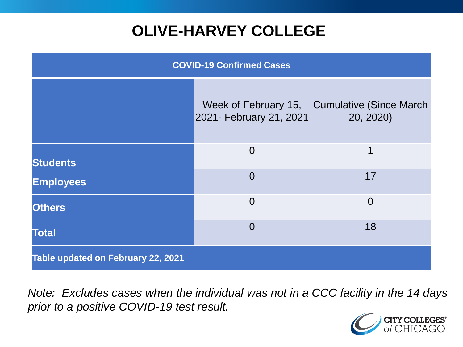# **OLIVE-HARVEY COLLEGE**

| <b>COVID-19 Confirmed Cases</b>    |                                                 |                                              |
|------------------------------------|-------------------------------------------------|----------------------------------------------|
|                                    | Week of February 15,<br>2021- February 21, 2021 | <b>Cumulative (Since March)</b><br>20, 2020) |
| <b>Students</b>                    | $\overline{0}$                                  | 1                                            |
| <b>Employees</b>                   | $\Omega$                                        | 17                                           |
| <b>Others</b>                      | $\overline{0}$                                  | $\overline{0}$                               |
| <b>Total</b>                       | $\overline{0}$                                  | 18                                           |
| Table updated on February 22, 2021 |                                                 |                                              |

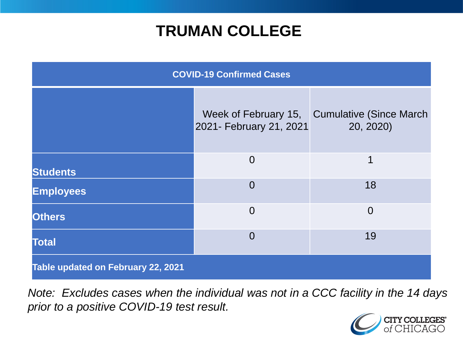### **TRUMAN COLLEGE**

| <b>COVID-19 Confirmed Cases</b>    |                                                 |                                      |
|------------------------------------|-------------------------------------------------|--------------------------------------|
|                                    | Week of February 15,<br>2021- February 21, 2021 | Cumulative (Since March<br>20, 2020) |
| <b>Students</b>                    | $\overline{0}$                                  | 1                                    |
| <b>Employees</b>                   | $\overline{0}$                                  | 18                                   |
| <b>Others</b>                      | $\overline{0}$                                  | $\overline{0}$                       |
| <b>Total</b>                       | $\overline{0}$                                  | 19                                   |
| Table updated on February 22, 2021 |                                                 |                                      |

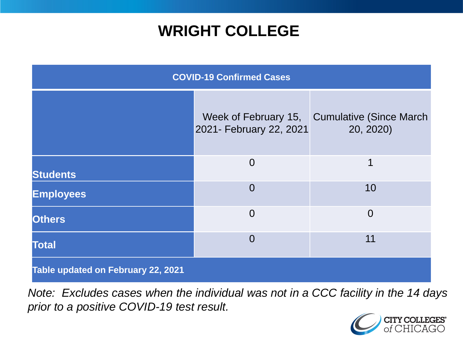### **WRIGHT COLLEGE**

| <b>COVID-19 Confirmed Cases</b>    |                         |                                                           |
|------------------------------------|-------------------------|-----------------------------------------------------------|
|                                    | 2021- February 22, 2021 | Week of February 15, Cumulative (Since March<br>20, 2020) |
| <b>Students</b>                    | $\overline{0}$          | 1                                                         |
| <b>Employees</b>                   | $\overline{0}$          | 10                                                        |
| <b>Others</b>                      | $\overline{0}$          | $\overline{0}$                                            |
| <b>Total</b>                       | $\overline{0}$          | 11                                                        |
| Table updated on February 22, 2021 |                         |                                                           |